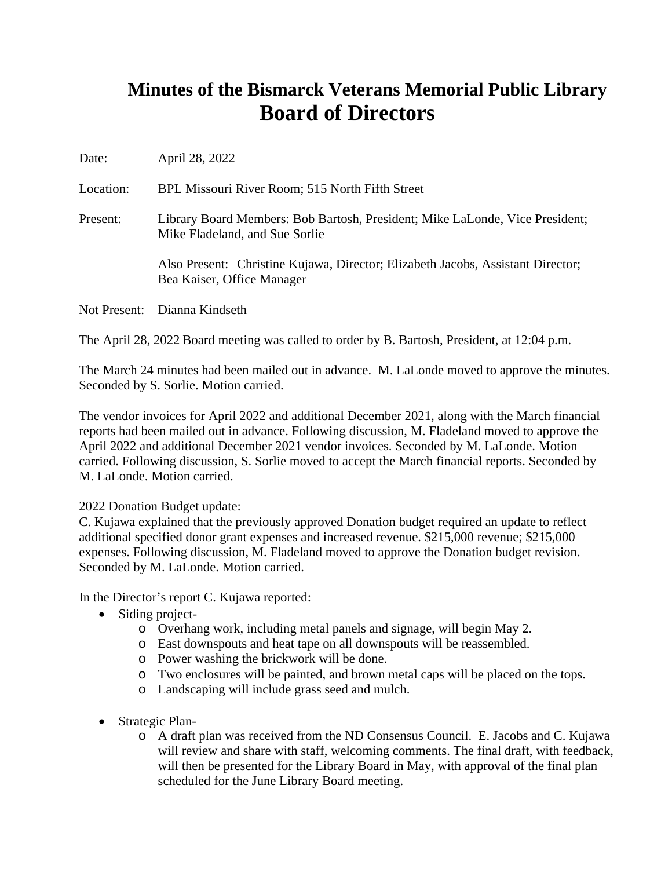## **Minutes of the Bismarck Veterans Memorial Public Library Board of Directors**

| Date: | April 28, 2022 |  |
|-------|----------------|--|
|-------|----------------|--|

Location: BPL Missouri River Room; 515 North Fifth Street

Present: Library Board Members: Bob Bartosh, President; Mike LaLonde, Vice President; Mike Fladeland, and Sue Sorlie

> Also Present: Christine Kujawa, Director; Elizabeth Jacobs, Assistant Director; Bea Kaiser, Office Manager

Not Present: Dianna Kindseth

The April 28, 2022 Board meeting was called to order by B. Bartosh, President, at 12:04 p.m.

The March 24 minutes had been mailed out in advance. M. LaLonde moved to approve the minutes. Seconded by S. Sorlie. Motion carried.

The vendor invoices for April 2022 and additional December 2021, along with the March financial reports had been mailed out in advance. Following discussion, M. Fladeland moved to approve the April 2022 and additional December 2021 vendor invoices. Seconded by M. LaLonde. Motion carried. Following discussion, S. Sorlie moved to accept the March financial reports. Seconded by M. LaLonde. Motion carried.

## 2022 Donation Budget update:

C. Kujawa explained that the previously approved Donation budget required an update to reflect additional specified donor grant expenses and increased revenue. \$215,000 revenue; \$215,000 expenses. Following discussion, M. Fladeland moved to approve the Donation budget revision. Seconded by M. LaLonde. Motion carried.

In the Director's report C. Kujawa reported:

- Siding project
	- o Overhang work, including metal panels and signage, will begin May 2.
	- o East downspouts and heat tape on all downspouts will be reassembled.
	- o Power washing the brickwork will be done.
	- o Two enclosures will be painted, and brown metal caps will be placed on the tops.
	- o Landscaping will include grass seed and mulch.
- Strategic Plan
	- o A draft plan was received from the ND Consensus Council. E. Jacobs and C. Kujawa will review and share with staff, welcoming comments. The final draft, with feedback, will then be presented for the Library Board in May, with approval of the final plan scheduled for the June Library Board meeting.